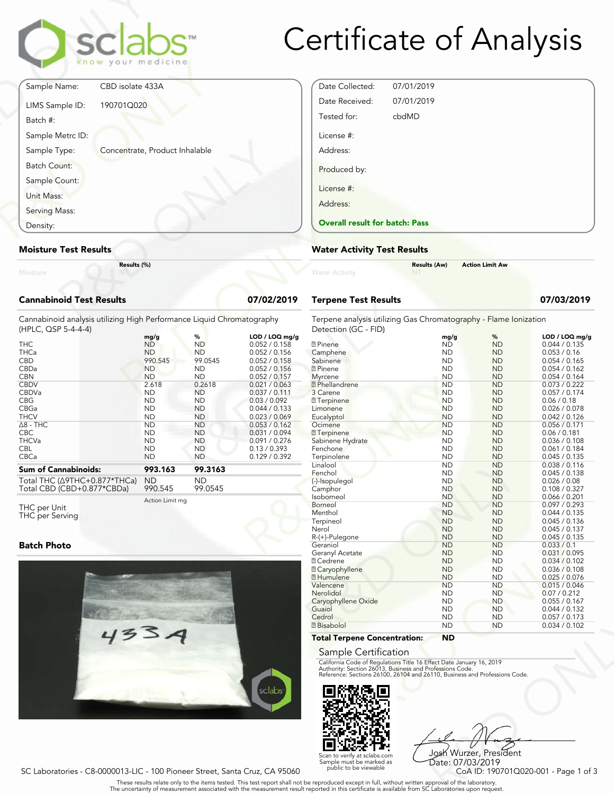

## Certificate of Analysis

|                                 | sclabs<br>know your medicine   |          |
|---------------------------------|--------------------------------|----------|
| Sample Name:                    | CBD isolate 433A               |          |
| LIMS Sample ID:                 | 190701Q020                     |          |
| Batch #:                        |                                |          |
| Sample Metrc ID:                |                                |          |
| Sample Type:                    | Concentrate, Product Inhalable |          |
| Batch Count:                    |                                |          |
| Sample Count:                   |                                |          |
| Unit Mass:                      |                                |          |
| Serving Mass:                   |                                |          |
| Density:                        |                                |          |
| <b>Moisture Test Results</b>    |                                |          |
| Moisture                        | Results (%)                    |          |
| <b>Cannabinoid Test Results</b> |                                | 07/02/20 |

#### **Moisture Test Results**

#### **Cannabinoid Test Results 07/02/2019**

| Density:                                                                                                                  |                                                               |                                                            |                                                                                  | <b>Overall result for batc</b>                                               |
|---------------------------------------------------------------------------------------------------------------------------|---------------------------------------------------------------|------------------------------------------------------------|----------------------------------------------------------------------------------|------------------------------------------------------------------------------|
| <b>Moisture Test Results</b>                                                                                              |                                                               |                                                            |                                                                                  | <b>Water Activity Test R</b>                                                 |
| Results (%)<br>Moisture                                                                                                   |                                                               |                                                            |                                                                                  | <b>Water Activity</b>                                                        |
| <b>Cannabinoid Test Results</b>                                                                                           |                                                               |                                                            | 07/02/2019                                                                       | <b>Terpene Test Results</b>                                                  |
| Cannabinoid analysis utilizing High Performance Liquid Chromatography<br>(HPLC, QSP 5-4-4-4)<br><b>THC</b><br><b>THCa</b> | mg/g<br><b>ND</b><br><b>ND</b>                                | %<br><b>ND</b><br><b>ND</b>                                | LOD / LOQ mg/g<br>0.052 / 0.158<br>0.052 / 0.156                                 | Terpene analysis utilizing<br>Detection (GC - FID)<br>2 Pinene<br>Camphene   |
| <b>CBD</b><br>CBDa<br><b>CBN</b>                                                                                          | 990.545<br><b>ND</b><br><b>ND</b>                             | 99.0545<br><b>ND</b><br><b>ND</b>                          | 0.052 / 0.158<br>0.052 / 0.156<br>0.052 / 0.157                                  | Sabinene<br><b>7</b> Pinene<br>Myrcene                                       |
| <b>CBDV</b><br>CBDVa<br><b>CBG</b><br>CBGa<br><b>THCV</b>                                                                 | 2.618<br><b>ND</b><br><b>ND</b><br><b>ND</b><br><b>ND</b>     | 0.2618<br><b>ND</b><br><b>ND</b><br><b>ND</b><br><b>ND</b> | 0.021 / 0.063<br>0.037 / 0.111<br>0.03 / 0.092<br>0.044 / 0.133<br>0.023 / 0.069 | <b>7</b> Phellandrene<br>3 Carene<br>7 Terpinene<br>Limonene<br>Eucalyptol   |
| $\Delta$ 8 - THC<br><b>CBC</b><br><b>THCVa</b><br><b>CBL</b><br>CBCa                                                      | <b>ND</b><br><b>ND</b><br><b>ND</b><br><b>ND</b><br><b>ND</b> | <b>ND</b><br><b>ND</b><br><b>ND</b><br>ND.<br><b>ND</b>    | 0.053 / 0.162<br>0.031 / 0.094<br>0.091 / 0.276<br>0.13 / 0.393<br>0.129 / 0.392 | Ocimene<br><b>7</b> Terpinene<br>Sabinene Hydrate<br>Fenchone<br>Terpinolene |
| <b>Sum of Cannabinoids:</b><br>Total THC ( $\triangle$ 9THC+0.877*THCa)<br>Total CBD (CBD+0.877*CBDa)                     | 993.163<br><b>ND</b><br>990.545                               | 99.3163<br><b>ND</b><br>99.0545                            |                                                                                  | Linalool<br>Fenchol<br>(-)-Isopulegol<br>Camphor                             |

Total THC (Δ9THC+0.877\*THCa) Total CBD (CBD+0.877\*CBDa)

Action Limit mg 990.545

#### THC per Unit THC per Serving

#### **Batch Photo**



| Date Collected:                       | 07/01/2019 |
|---------------------------------------|------------|
| Date Received:                        | 07/01/2019 |
| Tested for:                           | cbdMD      |
| License #:                            |            |
| Address:                              |            |
| Produced by:                          |            |
| License #:                            |            |
| Address:                              |            |
| <b>Overall result for batch: Pass</b> |            |

#### **Water Activity Test Results**

|                | <b>Results (Aw)</b> | <b>Action Limit Aw</b> |  |
|----------------|---------------------|------------------------|--|
| Water Activity |                     |                        |  |

### **Terpene Test Results 07/03/2019**

Terpene analysis utilizing Gas Chromatography - Flame Ionization Detection (GC - FID)

| LOD / LOQ mg/g |                                                                                                                                        | mg/g      | %         | LOD / LOQ mg/g |
|----------------|----------------------------------------------------------------------------------------------------------------------------------------|-----------|-----------|----------------|
| 0.052 / 0.158  | <b>7</b> Pinene                                                                                                                        | <b>ND</b> | <b>ND</b> | 0.044 / 0.135  |
| 0.052 / 0.156  | Camphene                                                                                                                               | <b>ND</b> | <b>ND</b> | 0.053 / 0.16   |
| 0.052 / 0.158  | Sabinene                                                                                                                               | <b>ND</b> | <b>ND</b> | 0.054 / 0.165  |
| 0.052 / 0.156  | <b>7</b> Pinene                                                                                                                        | <b>ND</b> | <b>ND</b> | 0.054 / 0.162  |
| 0.052 / 0.157  | Myrcene                                                                                                                                | <b>ND</b> | <b>ND</b> | 0.054 / 0.164  |
| 0.021 / 0.063  | <b>7</b> Phellandrene                                                                                                                  | <b>ND</b> | <b>ND</b> | 0.073 / 0.222  |
| 0.037 / 0.111  | 3 Carene                                                                                                                               | <b>ND</b> | <b>ND</b> | 0.057 / 0.174  |
| 0.03 / 0.092   | <b>7</b> Terpinene                                                                                                                     | <b>ND</b> | <b>ND</b> | 0.06 / 0.18    |
| 0.044 / 0.133  | Limonene                                                                                                                               | <b>ND</b> | <b>ND</b> | 0.026 / 0.078  |
| 0.023 / 0.069  | Eucalyptol                                                                                                                             | <b>ND</b> | <b>ND</b> | 0.042 / 0.126  |
| 0.053 / 0.162  | Ocimene                                                                                                                                | <b>ND</b> | <b>ND</b> | 0.056 / 0.171  |
| 0.031 / 0.094  | <b>7</b> Terpinene                                                                                                                     | <b>ND</b> | <b>ND</b> | 0.06 / 0.181   |
| 0.091 / 0.276  | Sabinene Hydrate                                                                                                                       | <b>ND</b> | <b>ND</b> | 0.036 / 0.108  |
| 0.13 / 0.393   | Fenchone                                                                                                                               | <b>ND</b> | <b>ND</b> | 0.061 / 0.184  |
| 0.129 / 0.392  | Terpinolene                                                                                                                            | <b>ND</b> | <b>ND</b> | 0.045 / 0.135  |
|                | Linalool                                                                                                                               | <b>ND</b> | <b>ND</b> | 0.038 / 0.116  |
|                | Fenchol                                                                                                                                | <b>ND</b> | <b>ND</b> | 0.045 / 0.138  |
|                | (-)-Isopulegol                                                                                                                         | <b>ND</b> | <b>ND</b> | 0.026 / 0.08   |
|                | Camphor                                                                                                                                | <b>ND</b> | <b>ND</b> | 0.108 / 0.327  |
|                | Isoborneol                                                                                                                             | <b>ND</b> | <b>ND</b> | 0.066 / 0.201  |
|                | Borneol                                                                                                                                | <b>ND</b> | <b>ND</b> | 0.097 / 0.293  |
|                | Menthol                                                                                                                                | <b>ND</b> | <b>ND</b> | 0.044 / 0.135  |
|                | Terpineol                                                                                                                              | <b>ND</b> | <b>ND</b> | 0.045 / 0.136  |
|                | Nerol                                                                                                                                  | <b>ND</b> | <b>ND</b> | 0.045 / 0.137  |
|                | R-(+)-Pulegone                                                                                                                         | <b>ND</b> | <b>ND</b> | 0.045 / 0.135  |
|                | Geraniol                                                                                                                               | <b>ND</b> | <b>ND</b> | 0.033 / 0.1    |
|                | Geranyl Acetate                                                                                                                        | <b>ND</b> | <b>ND</b> | 0.031 / 0.095  |
|                | <b>7 Cedrene</b>                                                                                                                       | <b>ND</b> | <b>ND</b> | 0.034 / 0.102  |
|                | 2 Caryophyllene                                                                                                                        | <b>ND</b> | <b>ND</b> | 0.036 / 0.108  |
|                | <b>7</b> Humulene                                                                                                                      | <b>ND</b> | <b>ND</b> | 0.025 / 0.076  |
|                | Valencene                                                                                                                              | <b>ND</b> | <b>ND</b> | 0.015 / 0.046  |
|                | Nerolidol                                                                                                                              | <b>ND</b> | <b>ND</b> | 0.07 / 0.212   |
|                | Caryophyllene Oxide                                                                                                                    | <b>ND</b> | <b>ND</b> | 0.055 / 0.167  |
|                | Guaiol                                                                                                                                 | <b>ND</b> | <b>ND</b> | 0.044 / 0.132  |
|                | Cedrol                                                                                                                                 | <b>ND</b> | <b>ND</b> | 0.057 / 0.173  |
|                | <b>7</b> Bisabolol                                                                                                                     | ND.       | <b>ND</b> | 0.034 / 0.102  |
|                | <b>Total Terpene Concentration:</b>                                                                                                    | <b>ND</b> |           |                |
|                | Sample Certification                                                                                                                   |           |           |                |
|                | California Code of Regulations Title 16 Effect Date January 16, 2019                                                                   |           |           |                |
|                | Authority: Section 26013, Business and Professions Code.<br>Reference: Sections 26100, 26104 and 26110, Business and Professions Code. |           |           |                |
|                |                                                                                                                                        |           |           |                |
| sclabs         |                                                                                                                                        |           |           |                |
|                |                                                                                                                                        |           |           |                |
|                |                                                                                                                                        |           |           |                |
|                |                                                                                                                                        |           |           |                |

#### **Total Terpene Concentration: ND**

#### Sample Certification



ND<br>
ND<br>
ND<br>
R**D**<br>
Rect Date January 16, 2019<br>
The Hect Date January 16, 2019<br>
To Consider the Strategies and Professions Code.<br>
Substitute: 07/03/2019<br>
CoA ID: 190701Q020-001 - Page 1 of 3<br>
pproval of the laboratories upon Josh Wurzer, President Date: 07/03/2019

SC Laboratories - C8-0000013-LIC - 100 Pioneer Street, Santa Cruz, CA 95060

. These results relate only to the items tested. This test report shall not be reproduced except in full, without written approval of the laboratory.<br>The uncertainty of measurement associated with the measurement result re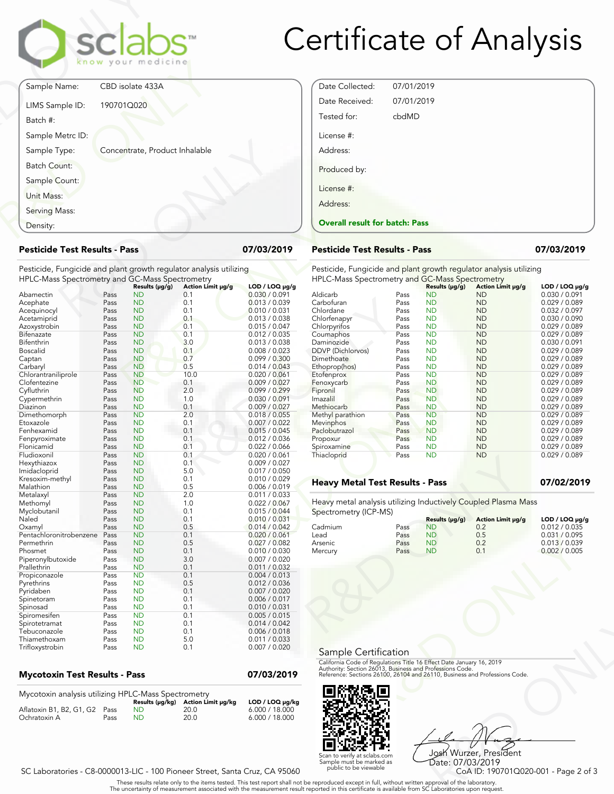

| 07/03/2019                     |
|--------------------------------|
|                                |
|                                |
|                                |
| LOD / LOQ µg.<br>0.030 / 0.091 |
| 0.013 / 0.039<br>0.010 / 0.031 |
|                                |

#### **Pesticide Test Results - Pass 07/03/2019**

| Density:                                                           |      |                 |                   |                  | <b>Overall result for batc</b> |    |
|--------------------------------------------------------------------|------|-----------------|-------------------|------------------|--------------------------------|----|
| <b>Pesticide Test Results - Pass</b>                               |      |                 |                   | 07/03/2019       | <b>Pesticide Test Results</b>  |    |
| Pesticide, Fungicide and plant growth regulator analysis utilizing |      |                 |                   |                  | Pesticide, Fungicide and       |    |
| HPLC-Mass Spectrometry and GC-Mass Spectrometry                    |      |                 |                   |                  | <b>HPLC-Mass Spectrometry</b>  |    |
|                                                                    |      | Results (µg/g)  | Action Limit µg/g | $LOD / LOQ$ µg/g |                                |    |
| Abamectin                                                          | Pass | ND              | 0.1               | 0.030 / 0.091    | Aldicarb                       | Pa |
| Acephate                                                           | Pass | <b>ND</b>       | 0.1               | 0.013 / 0.039    | Carbofuran                     | Pa |
| Acequinocyl                                                        | Pass | <b>ND</b>       | 0.1               | 0.010 / 0.031    | Chlordane                      | Pa |
| Acetamiprid                                                        | Pass | <b>ND</b>       | 0.1               | 0.013 / 0.038    | Chlorfenapyr                   | Pa |
| Azoxystrobin                                                       | Pass | <b>ND</b>       | 0.1               | 0.015 / 0.047    | Chlorpyrifos                   | Pa |
| Bifenazate                                                         | Pass | <b>ND</b>       | 0.1               | 0.012 / 0.035    | Coumaphos                      | Pa |
| Bifenthrin                                                         | Pass | <b>ND</b>       | 3.0               | 0.013 / 0.038    | Daminozide                     | Pa |
| Boscalid                                                           | Pass | <b>ND</b>       | 0.1               | 0.008 / 0.023    | DDVP (Dichlorvos)              | Pa |
| Captan                                                             | Pass | <b>ND</b>       | 0.7               | 0.099 / 0.300    | Dimethoate                     | Pa |
| Carbaryl                                                           | Pass | <b>ND</b>       | 0.5               | 0.014 / 0.043    | Ethoprop(hos)                  | Pa |
| Chlorantraniliprole                                                | Pass | <b>ND</b>       | 10.0              | 0.020 / 0.061    | Etofenprox                     | Pa |
| Clofentezine                                                       | Pass | <b>ND</b>       | 0.1               | 0.009 / 0.027    | Fenoxycarb                     | Pa |
| Cyfluthrin                                                         | Pass | <b>ND</b>       | 2.0               | 0.099 / 0.299    | Fipronil                       | Pa |
| Cypermethrin                                                       | Pass | ND              | 1.0               | 0.030 / 0.091    | Imazalil                       | Pa |
| Diazinon                                                           | Pass | ND              | 0.1               | 0.009 / 0.027    | Methiocarb                     | Pa |
| Dimethomorph                                                       | Pass | <b>ND</b>       | 2.0               | 0.018 / 0.055    | Methyl parathion               | Pa |
| Etoxazole                                                          | Pass | ND              | 0.1               | 0.007 / 0.022    | Mevinphos                      | Pa |
| Fenhexamid                                                         | Pass | <b>ND</b>       | 0.1               | 0.015 / 0.045    | Paclobutrazol                  | Pa |
| Fenpyroximate                                                      | Pass | <b>ND</b>       | 0.1               | 0.012 / 0.036    | Propoxur                       | Pa |
| Flonicamid                                                         | Pass | <b>ND</b>       | 0.1               | 0.022 / 0.066    | Spiroxamine                    | Pa |
| Fludioxonil                                                        | Pass | <b>ND</b>       | 0.1               | 0.020 / 0.061    | Thiacloprid                    | Pa |
| Hexythiazox                                                        | Pass | <b>ND</b>       | 0.1               | 0.009 / 0.027    |                                |    |
| Imidacloprid                                                       | Pass | <b>ND</b>       | 5.0               | 0.017 / 0.050    |                                |    |
| Kresoxim-methyl                                                    | Pass | <b>ND</b>       | 0.1               | 0.010 / 0.029    |                                |    |
| Malathion                                                          | Pass | <b>ND</b>       | 0.5               | 0.006 / 0.019    | <b>Heavy Metal Test Res</b>    |    |
|                                                                    | Pass | <b>ND</b>       | 2.0               | 0.011 / 0.033    |                                |    |
| Metalaxyl                                                          | Pass | <b>ND</b>       | 1.0               | 0.022 / 0.067    | Heavy metal analysis utiliz    |    |
| Methomyl                                                           |      |                 |                   |                  |                                |    |
| Myclobutanil                                                       | Pass | ND<br><b>ND</b> | 0.1<br>0.1        | 0.015 / 0.044    | Spectrometry (ICP-MS)          |    |
| Naled                                                              | Pass |                 |                   | 0.010 / 0.031    |                                |    |
| Oxamyl                                                             | Pass | <b>ND</b>       | 0.5               | 0.014 / 0.042    | Cadmium                        | Pa |
| Pentachloronitrobenzene                                            | Pass | <b>ND</b>       | 0.1               | 0.020 / 0.061    | Lead                           | Pa |
| Permethrin                                                         | Pass | <b>ND</b>       | 0.5               | 0.027 / 0.082    | Arsenic                        | Pa |
| Phosmet                                                            | Pass | <b>ND</b>       | 0.1               | 0.010 / 0.030    | Mercury                        | Pa |
| Piperonylbutoxide                                                  | Pass | <b>ND</b>       | 3.0               | 0.007 / 0.020    |                                |    |
| Prallethrin                                                        | Pass | <b>ND</b>       | 0.1               | 0.011 / 0.032    |                                |    |
| Propiconazole                                                      | Pass | <b>ND</b>       | 0.1               | 0.004 / 0.013    |                                |    |
| Pyrethrins                                                         | Pass | ND              | 0.5               | 0.012 / 0.036    |                                |    |
| Pyridaben                                                          | Pass | <b>ND</b>       | 0.1               | 0.007 / 0.020    |                                |    |
| Spinetoram                                                         | Pass | <b>ND</b>       | 0.1               | 0.006 / 0.017    |                                |    |
| Spinosad                                                           | Pass | <b>ND</b>       | 0.1               | 0.010 / 0.031    |                                |    |
| Spiromesifen                                                       | Pass | <b>ND</b>       | 0.1               | 0.005 / 0.015    |                                |    |
| Spirotetramat                                                      | Pass | <b>ND</b>       | 0.1               | 0.014 / 0.042    |                                |    |
| Tebuconazole                                                       | Pass | <b>ND</b>       | 0.1               | 0.006 / 0.018    |                                |    |
| Thiamethoxam                                                       | Pass | <b>ND</b>       | 5.0               | 0.011 / 0.033    |                                |    |
| Trifloxystrobin                                                    | Pass | <b>ND</b>       | 0.1               | 0.007 / 0.020    | $\cdot$ r                      |    |

### **Mycotoxin Test Results - Pass 07/03/2019**

| Mycotoxin analysis utilizing HPLC-Mass Spectrometry |      |    |                                    |                 |
|-----------------------------------------------------|------|----|------------------------------------|-----------------|
|                                                     |      |    | Results (µq/kq) Action Limit µq/kq | LOD / LOQ µg/kg |
| Aflatoxin B1, B2, G1, G2 Pass                       |      | ND | 20.0                               | 6.000 / 18.000  |
| Ochratoxin A                                        | Pass | ND | 20.0                               | 6.000 / 18.000  |

# Certificate of Analysis

| Date Collected:                       | 07/01/2019 |  |  |
|---------------------------------------|------------|--|--|
| Date Received:                        | 07/01/2019 |  |  |
| Tested for:                           | cbdMD      |  |  |
| License #:                            |            |  |  |
| Address:                              |            |  |  |
| Produced by:                          |            |  |  |
| License #:                            |            |  |  |
| Address:                              |            |  |  |
| <b>Overall result for batch: Pass</b> |            |  |  |
|                                       |            |  |  |

#### **Pesticide Test Results - Pass 07/03/2019**

Pesticide, Fungicide and plant growth regulator analysis utilizing HPLC-Mass Spectrometry and GC-Mass Spectrometry

|                   |                        |                               | . ບາກເບເກ                                                                          |                                                                                                                                       |
|-------------------|------------------------|-------------------------------|------------------------------------------------------------------------------------|---------------------------------------------------------------------------------------------------------------------------------------|
|                   |                        |                               | Action Limit µg/g                                                                  | $LOD / LOQ \mu q/q$                                                                                                                   |
|                   |                        |                               |                                                                                    | 0.030 / 0.091                                                                                                                         |
|                   | Pass                   |                               |                                                                                    | 0.029 / 0.089                                                                                                                         |
| Chlordane         | Pass                   | <b>ND</b>                     | <b>ND</b>                                                                          | 0.032 / 0.097                                                                                                                         |
| Chlorfenapyr      | Pass                   | <b>ND</b>                     | <b>ND</b>                                                                          | 0.030 / 0.090                                                                                                                         |
| Chlorpyrifos      | Pass                   | <b>ND</b>                     | <b>ND</b>                                                                          | 0.029 / 0.089                                                                                                                         |
| Coumaphos         | Pass                   | <b>ND</b>                     | <b>ND</b>                                                                          | 0.029 / 0.089                                                                                                                         |
| Daminozide        | Pass                   | <b>ND</b>                     | <b>ND</b>                                                                          | 0.030 / 0.091                                                                                                                         |
| DDVP (Dichlorvos) | Pass                   | <b>ND</b>                     | <b>ND</b>                                                                          | 0.029 / 0.089                                                                                                                         |
| Dimethoate        | Pass                   | <b>ND</b>                     | <b>ND</b>                                                                          | 0.029 / 0.089                                                                                                                         |
| Ethoprop(hos)     | Pass                   | <b>ND</b>                     | <b>ND</b>                                                                          | 0.029 / 0.089                                                                                                                         |
| Etofenprox        | Pass                   | <b>ND</b>                     | <b>ND</b>                                                                          | 0.029 / 0.089                                                                                                                         |
| Fenoxycarb        | Pass                   | <b>ND</b>                     | <b>ND</b>                                                                          | 0.029 / 0.089                                                                                                                         |
| Fipronil          | Pass                   | <b>ND</b>                     | <b>ND</b>                                                                          | 0.029 / 0.089                                                                                                                         |
| Imazalil          | Pass                   | <b>ND</b>                     | <b>ND</b>                                                                          | 0.029 / 0.089                                                                                                                         |
| Methiocarb        | Pass                   | <b>ND</b>                     | <b>ND</b>                                                                          | 0.029 / 0.089                                                                                                                         |
| Methyl parathion  | Pass                   | <b>ND</b>                     | <b>ND</b>                                                                          | 0.029 / 0.089                                                                                                                         |
| Mevinphos         | Pass                   | <b>ND</b>                     | <b>ND</b>                                                                          | 0.029 / 0.089                                                                                                                         |
| Paclobutrazol     | Pass                   | <b>ND</b>                     | <b>ND</b>                                                                          | 0.029 / 0.089                                                                                                                         |
| Propoxur          | Pass                   | <b>ND</b>                     | <b>ND</b>                                                                          | 0.029 / 0.089                                                                                                                         |
| Spiroxamine       | Pass                   | <b>ND</b>                     | <b>ND</b>                                                                          | 0.029 / 0.089                                                                                                                         |
| Thiacloprid       | Pass                   | <b>ND</b>                     | <b>ND</b>                                                                          | 0.029 / 0.089                                                                                                                         |
|                   |                        |                               |                                                                                    |                                                                                                                                       |
|                   |                        |                               |                                                                                    |                                                                                                                                       |
|                   |                        |                               |                                                                                    | 07/02/2019                                                                                                                            |
|                   |                        |                               |                                                                                    |                                                                                                                                       |
|                   |                        |                               |                                                                                    |                                                                                                                                       |
|                   |                        |                               |                                                                                    |                                                                                                                                       |
|                   |                        |                               |                                                                                    |                                                                                                                                       |
|                   |                        | Results (µg/g)                | Action Limit µg/g                                                                  | $LOD / LOQ \mu q/q$                                                                                                                   |
| Cadmium           | Pass                   | <b>ND</b>                     | 0.2                                                                                | 0.012 / 0.035                                                                                                                         |
| Lead              | Pass                   | <b>ND</b>                     | 0.5                                                                                | 0.031 / 0.095                                                                                                                         |
| Arsenic           | Pass                   | <b>ND</b>                     | 0.2                                                                                | 0.013 / 0.039                                                                                                                         |
| Mercury           | Pass                   | <b>ND</b>                     | 0.1                                                                                | 0.002 / 0.005                                                                                                                         |
|                   | Aldicarb<br>Carbofuran | Pass<br>Spectrometry (ICP-MS) | Results (µg/g)<br><b>ND</b><br><b>ND</b><br><b>Heavy Metal Test Results - Pass</b> | The Lot mass opeculomeny and Go mass opec<br><b>ND</b><br><b>ND</b><br>Heavy metal analysis utilizing Inductively Coupled Plasma Mass |

#### **Heavy Metal Test Results - Pass 07/02/2019**

| <b>Iniacioprio</b>                                                                      | rass                         | <b>IND</b>                                                         | שצו                                                                                                                                                                                                            | <b>U.UZY / U.UOY</b>                                                               |
|-----------------------------------------------------------------------------------------|------------------------------|--------------------------------------------------------------------|----------------------------------------------------------------------------------------------------------------------------------------------------------------------------------------------------------------|------------------------------------------------------------------------------------|
| <b>Heavy Metal Test Results - Pass</b>                                                  |                              |                                                                    |                                                                                                                                                                                                                | 07/02/2019                                                                         |
| Heavy metal analysis utilizing Inductively Coupled Plasma Mass<br>Spectrometry (ICP-MS) |                              |                                                                    |                                                                                                                                                                                                                |                                                                                    |
| Cadmium<br>Lead<br>Arsenic<br>Mercury                                                   | Pass<br>Pass<br>Pass<br>Pass | Results (µg/g)<br><b>ND</b><br><b>ND</b><br><b>ND</b><br><b>ND</b> | Action Limit µg/g<br>0.2<br>0.5<br>0.2<br>0.1                                                                                                                                                                  | LOD / LOQ µg/g<br>0.012 / 0.035<br>0.031 / 0.095<br>0.013 / 0.039<br>0.002 / 0.005 |
| Sample Certification                                                                    |                              |                                                                    | California Code of Regulations Title 16 Effect Date January 16, 2019<br>Authority: Section 26013, Business and Professions Code.<br>Reference: Sections 26100, 26104 and 26110, Business and Professions Code. |                                                                                    |
|                                                                                         |                              |                                                                    |                                                                                                                                                                                                                |                                                                                    |

#### Sample Certification



Frect Date January 16, 2019<br>
Trofessions Code.<br>
110, Business and Professions Code.<br>
110, Business and Professions Code.<br>
108 Wurzzer, President<br>
Date: 07/03/2019<br>
CoA ID: 1907010020-001 - Page 2 of 3<br>
pproval of the labor Josh Wurzer, President Date: 07/03/2019<br>CoA ID: 190701Q020-001 - Page 2 of 3

. These results relate only to the items tested. This test report shall not be reproduced except in full, without written approval of the laboratory.<br>The uncertainty of measurement associated with the measurement result re